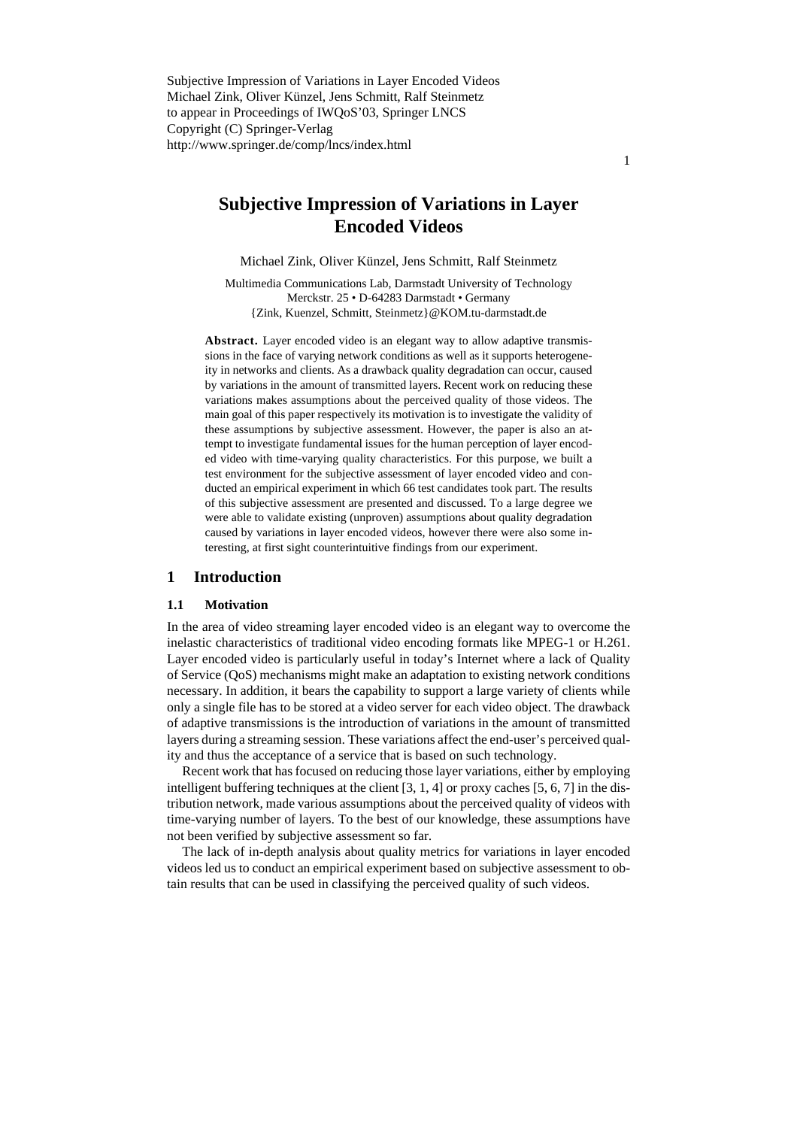# <span id="page-0-0"></span>**Subjective Impression of Variations in Layer Encoded Videos**

Michael Zink, Oliver Künzel, Jens Schmitt, Ralf Steinmetz

Multimedia Communications Lab, Darmstadt University of Technology Merckstr. 25 • D-64283 Darmstadt • Germany {Zink, Kuenzel, Schmitt, Steinmetz}@KOM.tu-darmstadt.de

**Abstract.** Layer encoded video is an elegant way to allow adaptive transmissions in the face of varying network conditions as well as it supports heterogeneity in networks and clients. As a drawback quality degradation can occur, caused by variations in the amount of transmitted layers. Recent work on reducing these variations makes assumptions about the perceived quality of those videos. The main goal of this paper respectively its motivation is to investigate the validity of these assumptions by subjective assessment. However, the paper is also an attempt to investigate fundamental issues for the human perception of layer encoded video with time-varying quality characteristics. For this purpose, we built a test environment for the subjective assessment of layer encoded video and conducted an empirical experiment in which 66 test candidates took part. The results of this subjective assessment are presented and discussed. To a large degree we were able to validate existing (unproven) assumptions about quality degradation caused by variations in layer encoded videos, however there were also some interesting, at first sight counterintuitive findings from our experiment.

# **1 Introduction**

#### **1.1 Motivation**

In the area of video streaming layer encoded video is an elegant way to overcome the inelastic characteristics of traditional video encoding formats like MPEG-1 or H.261. Layer encoded video is particularly useful in today's Internet where a lack of Quality of Service (QoS) mechanisms might make an adaptation to existing network conditions necessary. In addition, it bears the capability to support a large variety of clients while only a single file has to be stored at a video server for each video object. The drawback of adaptive transmissions is the introduction of variations in the amount of transmitted layers during a streaming session. These variations affect the end-user's perceived quality and thus the acceptance of a service that is based on such technology.

Recent work that has focused on reducing those layer variations, either by employing intelligent buffering techniques at the client [3, 1, 4] or proxy caches [5, 6, 7] in the distribution network, made various assumptions about the perceived quality of videos with time-varying number of layers. To the best of our knowledge, these assumptions have not been verified by subjective assessment so far.

The lack of in-depth analysis about quality metrics for variations in layer encoded videos led us to conduct an empirical experiment based on subjective assessment to obtain results that can be used in classifying the perceived quality of such videos.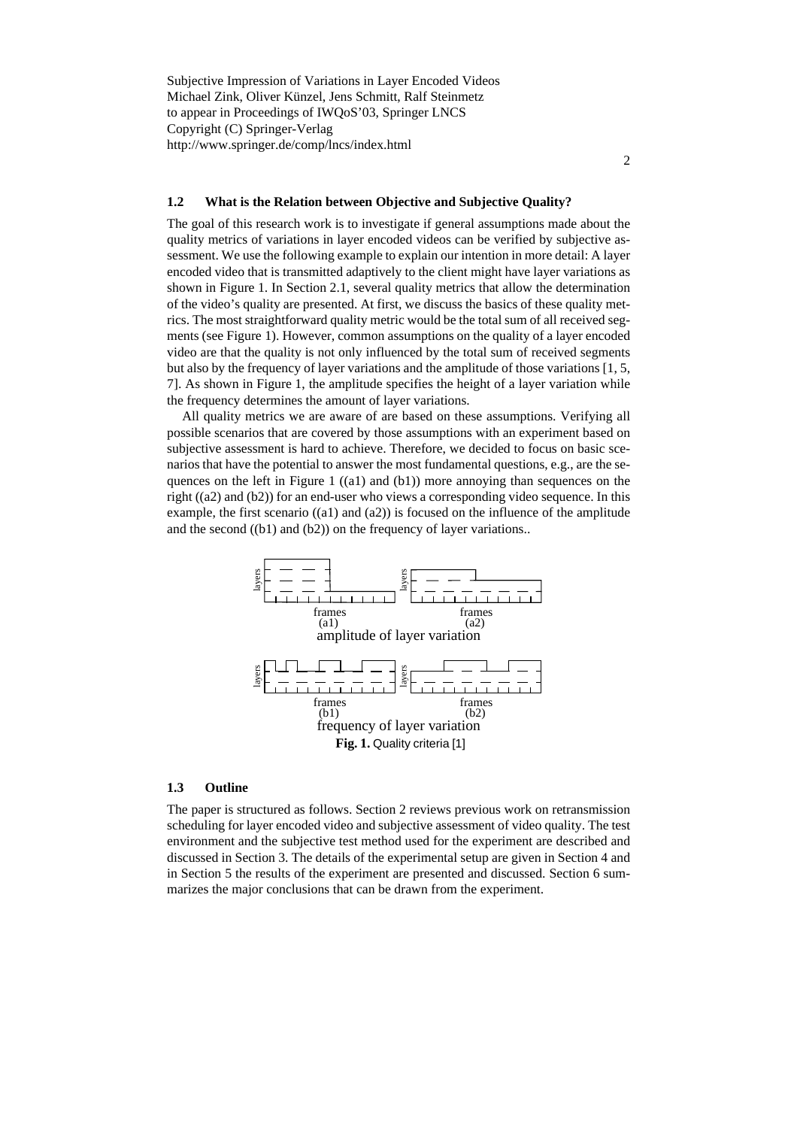## <span id="page-1-0"></span>**1.2 What is the Relation between Objective and Subjective Quality?**

The goal of this research work is to investigate if general assumptions made about the quality metrics of variations in layer encoded videos can be verified by subjective assessment. We use the following example to explain our intention in more detail: A layer encoded video that is transmitted adaptively to the client might have layer variations as shown in Figure 1. In Section 2.1, several quality metrics that allow the determination of the video's quality are presented. At first, we discuss the basics of these quality metrics. The most straightforward quality metric would be the total sum of all received segments (see Figure 1). However, common assumptions on the quality of a layer encoded video are that the quality is not only influenced by the total sum of received segments but also by the frequency of layer variations and the amplitude of those variations [1, 5, 7]. As shown in Figure 1, the amplitude specifies the height of a layer variation while the frequency determines the amount of layer variations.

All quality metrics we are aware of are based on these assumptions. Verifying all possible scenarios that are covered by those assumptions with an experiment based on subjective assessment is hard to achieve. Therefore, we decided to focus on basic scenarios that have the potential to answer the most fundamental questions, e.g., are the sequences on the left in Figure 1  $((a1)$  and  $(b1))$  more annoying than sequences on the right ((a2) and (b2)) for an end-user who views a corresponding video sequence. In this example, the first scenario  $((a1)$  and  $(a2))$  is focused on the influence of the amplitude and the second  $((b1)$  and  $(b2))$  on the frequency of layer variations..



#### **1.3 Outline**

The paper is structured as follows. [Section 2](#page-2-0) reviews previous work on retransmission scheduling for layer encoded video and subjective assessment of video quality. The test environment and the subjective test method used for the experiment are described and discussed in [Section 3](#page-3-0). The details of the experimental setup are given in [Section 4](#page-6-0) and in [Section 5](#page-9-0) the results of the experiment are presented and discussed. [Section 6](#page-15-0) summarizes the major conclusions that can be drawn from the experiment.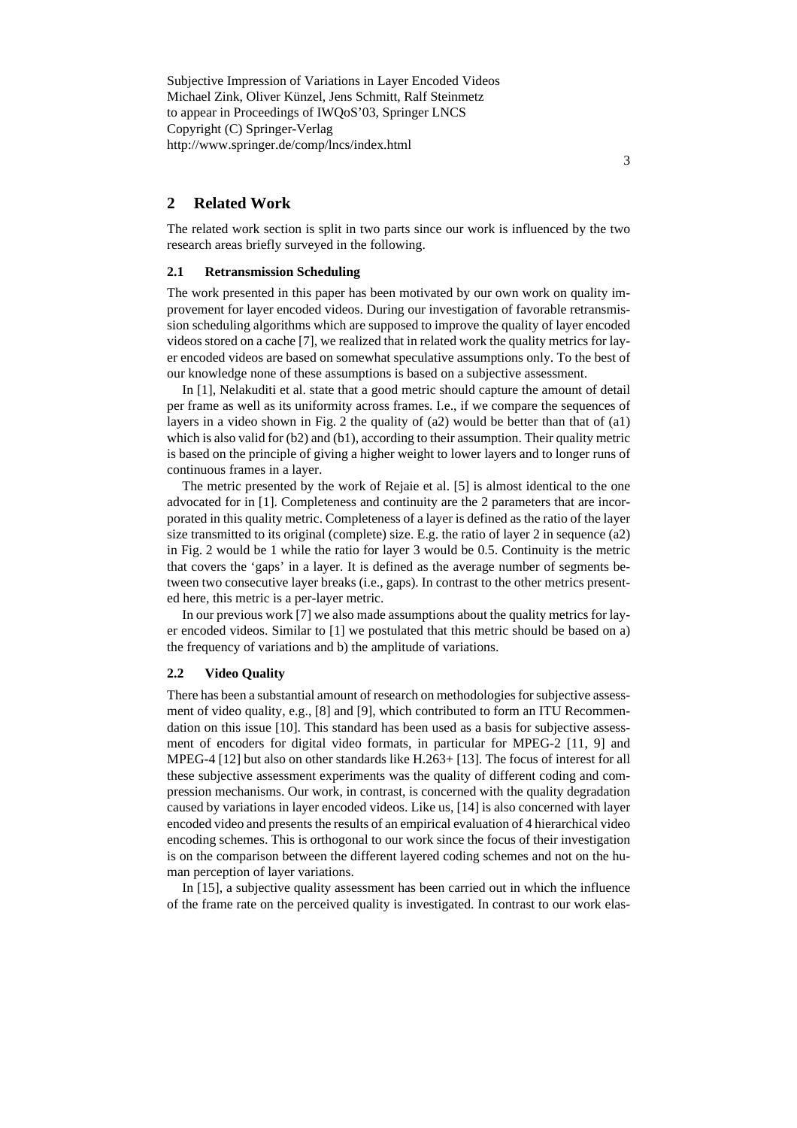# <span id="page-2-0"></span>**2 Related Work**

The related work section is split in two parts since our work is influenced by the two research areas briefly surveyed in the following.

## **2.1 Retransmission Scheduling**

The work presented in this paper has been motivated by our own work on quality improvement for layer encoded videos. During our investigation of favorable retransmission scheduling algorithms which are supposed to improve the quality of layer encoded videos stored on a cache [7], we realized that in related work the quality metrics for layer encoded videos are based on somewhat speculative assumptions only. To the best of our knowledge none of these assumptions is based on a subjective assessment.

In [1], Nelakuditi et al. state that a good metric should capture the amount of detail per frame as well as its uniformity across frames. I.e., if we compare the sequences of layers in a video shown in Fig. 2 the quality of  $(a2)$  would be better than that of  $(a1)$ which is also valid for (b2) and (b1), according to their assumption. Their quality metric is based on the principle of giving a higher weight to lower layers and to longer runs of continuous frames in a layer.

The metric presented by the work of Rejaie et al. [5] is almost identical to the one advocated for in [1]. Completeness and continuity are the 2 parameters that are incorporated in this quality metric. Completeness of a layer is defined as the ratio of the layer size transmitted to its original (complete) size. E.g. the ratio of layer 2 in sequence (a2) in Fig. 2 would be 1 while the ratio for layer 3 would be 0.5. Continuity is the metric that covers the 'gaps' in a layer. It is defined as the average number of segments between two consecutive layer breaks (i.e., gaps). In contrast to the other metrics presented here, this metric is a per-layer metric.

In our previous work [7] we also made assumptions about the quality metrics for layer encoded videos. Similar to [1] we postulated that this metric should be based on a) the frequency of variations and b) the amplitude of variations.

#### **2.2 Video Quality**

There has been a substantial amount of research on methodologies for subjective assessment of video quality, e.g., [8] and [9], which contributed to form an ITU Recommendation on this issue [10]. This standard has been used as a basis for subjective assessment of encoders for digital video formats, in particular for MPEG-2 [11, 9] and MPEG-4 [12] but also on other standards like H.263+ [13]. The focus of interest for all these subjective assessment experiments was the quality of different coding and compression mechanisms. Our work, in contrast, is concerned with the quality degradation caused by variations in layer encoded videos. Like us, [14] is also concerned with layer encoded video and presents the results of an empirical evaluation of 4 hierarchical video encoding schemes. This is orthogonal to our work since the focus of their investigation is on the comparison between the different layered coding schemes and not on the human perception of layer variations.

In [15], a subjective quality assessment has been carried out in which the influence of the frame rate on the perceived quality is investigated. In contrast to our work elas-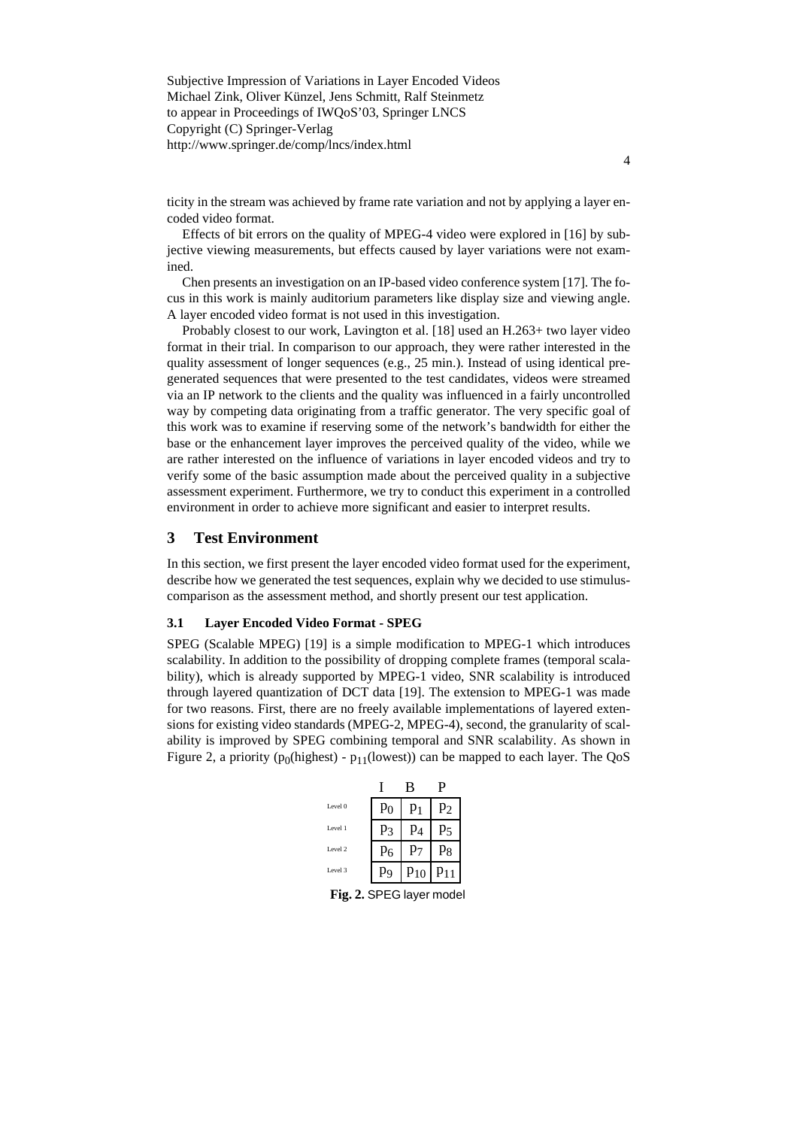<span id="page-3-0"></span>ticity in the stream was achieved by frame rate variation and not by applying a layer encoded video format.

Effects of bit errors on the quality of MPEG-4 video were explored in [16] by subjective viewing measurements, but effects caused by layer variations were not examined.

Chen presents an investigation on an IP-based video conference system [17]. The focus in this work is mainly auditorium parameters like display size and viewing angle. A layer encoded video format is not used in this investigation.

Probably closest to our work, Lavington et al. [18] used an H.263+ two layer video format in their trial. In comparison to our approach, they were rather interested in the quality assessment of longer sequences (e.g., 25 min.). Instead of using identical pregenerated sequences that were presented to the test candidates, videos were streamed via an IP network to the clients and the quality was influenced in a fairly uncontrolled way by competing data originating from a traffic generator. The very specific goal of this work was to examine if reserving some of the network's bandwidth for either the base or the enhancement layer improves the perceived quality of the video, while we are rather interested on the influence of variations in layer encoded videos and try to verify some of the basic assumption made about the perceived quality in a subjective assessment experiment. Furthermore, we try to conduct this experiment in a controlled environment in order to achieve more significant and easier to interpret results.

#### **3 Test Environment**

In this section, we first present the layer encoded video format used for the experiment, describe how we generated the test sequences, explain why we decided to use stimuluscomparison as the assessment method, and shortly present our test application.

#### **3.1 Layer Encoded Video Format - SPEG**

SPEG (Scalable MPEG) [19] is a simple modification to MPEG-1 which introduces scalability. In addition to the possibility of dropping complete frames (temporal scalability), which is already supported by MPEG-1 video, SNR scalability is introduced through layered quantization of DCT data [19]. The extension to MPEG-1 was made for two reasons. First, there are no freely available implementations of layered extensions for existing video standards (MPEG-2, MPEG-4), second, the granularity of scalability is improved by SPEG combining temporal and SNR scalability. As shown in Figure 2, a priority ( $p_0$ (highest) -  $p_{11}$ (lowest)) can be mapped to each layer. The QoS

|                    |       | B        |          |  |
|--------------------|-------|----------|----------|--|
| Level 0            | $p_0$ | $p_1$    | P2       |  |
| Level 1            | P٦    | $p_4$    | ሀና       |  |
| Level <sub>2</sub> | $p_6$ | $p_7$    | P8       |  |
| Level 3            |       | $p_{10}$ | $p_{11}$ |  |

**Fig. 2.** SPEG layer model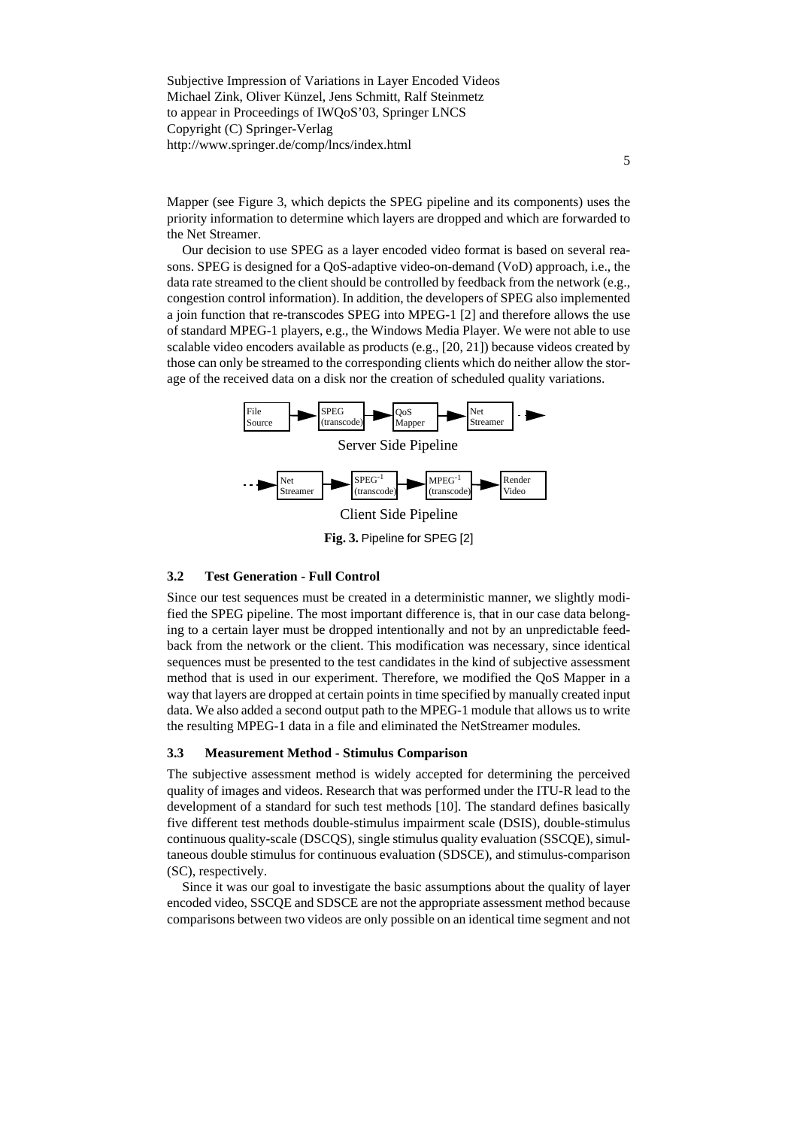Mapper (see Figure 3, which depicts the SPEG pipeline and its components) uses the priority information to determine which layers are dropped and which are forwarded to the Net Streamer.

Our decision to use SPEG as a layer encoded video format is based on several reasons. SPEG is designed for a QoS-adaptive video-on-demand (VoD) approach, i.e., the data rate streamed to the client should be controlled by feedback from the network (e.g., congestion control information). In addition, the developers of SPEG also implemented a join function that re-transcodes SPEG into MPEG-1 [2] and therefore allows the use of standard MPEG-1 players, e.g., the Windows Media Player. We were not able to use scalable video encoders available as products (e.g., [20, 21]) because videos created by those can only be streamed to the corresponding clients which do neither allow the storage of the received data on a disk nor the creation of scheduled quality variations.



**Fig. 3.** Pipeline for SPEG [2]

## **3.2 Test Generation - Full Control**

Since our test sequences must be created in a deterministic manner, we slightly modified the SPEG pipeline. The most important difference is, that in our case data belonging to a certain layer must be dropped intentionally and not by an unpredictable feedback from the network or the client. This modification was necessary, since identical sequences must be presented to the test candidates in the kind of subjective assessment method that is used in our experiment. Therefore, we modified the QoS Mapper in a way that layers are dropped at certain points in time specified by manually created input data. We also added a second output path to the MPEG-1 module that allows us to write the resulting MPEG-1 data in a file and eliminated the NetStreamer modules.

## **3.3 Measurement Method - Stimulus Comparison**

The subjective assessment method is widely accepted for determining the perceived quality of images and videos. Research that was performed under the ITU-R lead to the development of a standard for such test methods [10]. The standard defines basically five different test methods double-stimulus impairment scale (DSIS), double-stimulus continuous quality-scale (DSCQS), single stimulus quality evaluation (SSCQE), simultaneous double stimulus for continuous evaluation (SDSCE), and stimulus-comparison (SC), respectively.

Since it was our goal to investigate the basic assumptions about the quality of layer encoded video, SSCQE and SDSCE are not the appropriate assessment method because comparisons between two videos are only possible on an identical time segment and not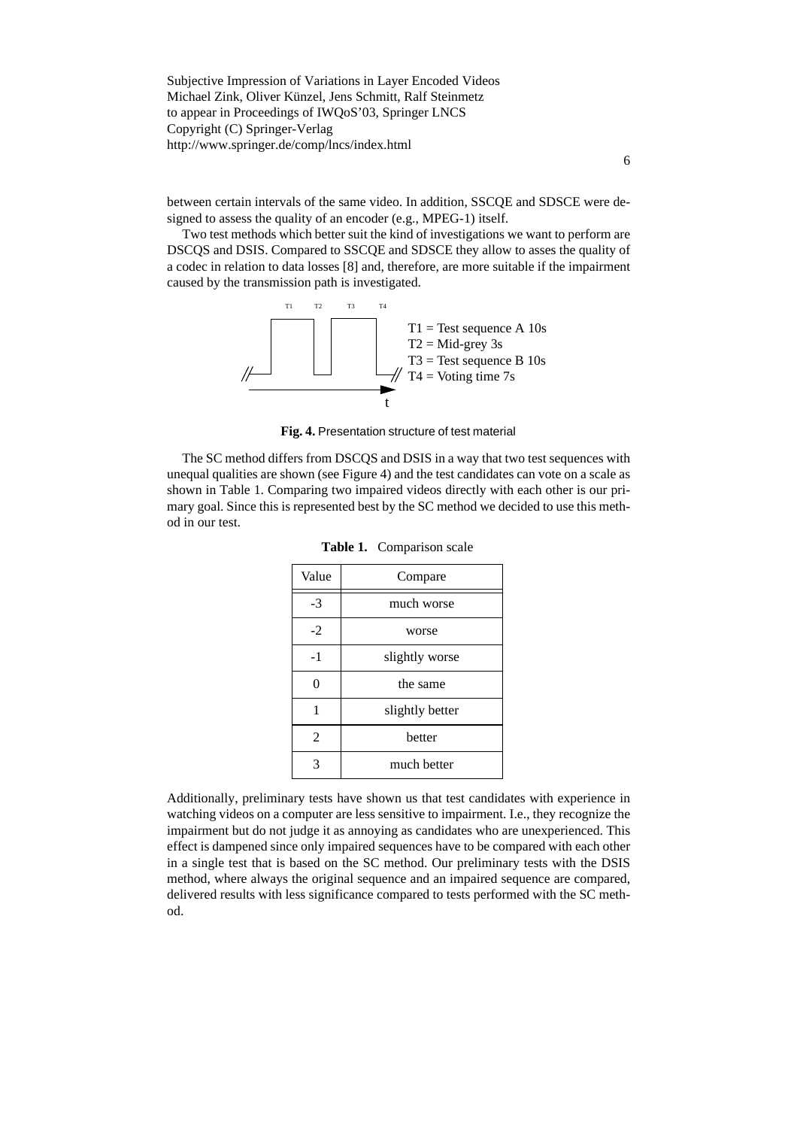6

<span id="page-5-0"></span>between certain intervals of the same video. In addition, SSCQE and SDSCE were designed to assess the quality of an encoder (e.g., MPEG-1) itself.

Two test methods which better suit the kind of investigations we want to perform are DSCQS and DSIS. Compared to SSCQE and SDSCE they allow to asses the quality of a codec in relation to data losses [8] and, therefore, are more suitable if the impairment caused by the transmission path is investigated.



**Fig. 4.** Presentation structure of test material

The SC method differs from DSCQS and DSIS in a way that two test sequences with unequal qualities are shown (see Figure 4) and the test candidates can vote on a scale as shown in Table 1. Comparing two impaired videos directly with each other is our primary goal. Since this is represented best by the SC method we decided to use this method in our test.

| Value          | Compare         |  |  |
|----------------|-----------------|--|--|
| $-3$           | much worse      |  |  |
| $-2$           | worse           |  |  |
| $-1$           | slightly worse  |  |  |
| 0              | the same        |  |  |
| 1              | slightly better |  |  |
| $\mathfrak{D}$ | hetter          |  |  |
| 3              | much better     |  |  |

**Table 1.** Comparison scale

Additionally, preliminary tests have shown us that test candidates with experience in watching videos on a computer are less sensitive to impairment. I.e., they recognize the impairment but do not judge it as annoying as candidates who are unexperienced. This effect is dampened since only impaired sequences have to be compared with each other in a single test that is based on the SC method. Our preliminary tests with the DSIS method, where always the original sequence and an impaired sequence are compared, delivered results with less significance compared to tests performed with the SC method.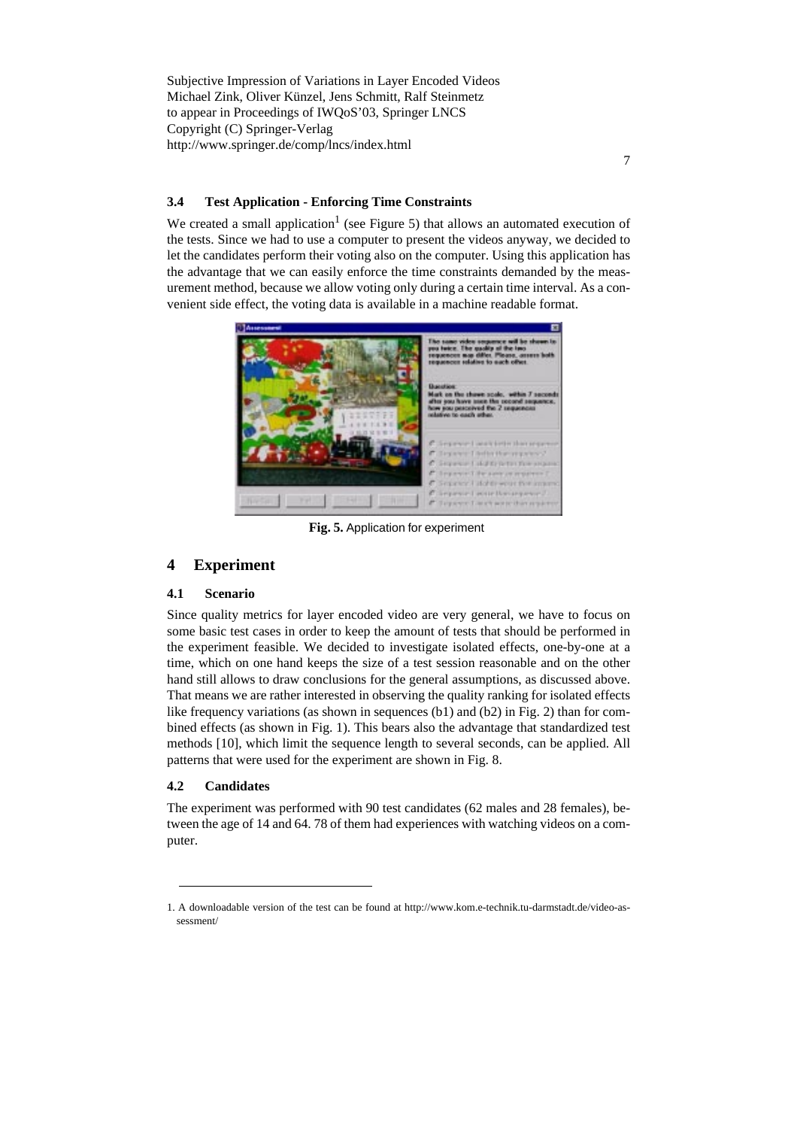## <span id="page-6-0"></span>**3.4 Test Application - Enforcing Time Constraints**

We created a small application<sup>1</sup> (see Figure 5) that allows an automated execution of the tests. Since we had to use a computer to present the videos anyway, we decided to let the candidates perform their voting also on the computer. Using this application has the advantage that we can easily enforce the time constraints demanded by the measurement method, because we allow voting only during a certain time interval. As a convenient side effect, the voting data is available in a machine readable format.



**Fig. 5.** Application for experiment

# **4 Experiment**

#### **4.1 Scenario**

Since quality metrics for layer encoded video are very general, we have to focus on some basic test cases in order to keep the amount of tests that should be performed in the experiment feasible. We decided to investigate isolated effects, one-by-one at a time, which on one hand keeps the size of a test session reasonable and on the other hand still allows to draw conclusions for the general assumptions, as discussed above. That means we are rather interested in observing the quality ranking for isolated effects like frequency variations (as shown in sequences (b1) and (b2) in Fig. 2) than for combined effects (as shown in Fig. 1). This bears also the advantage that standardized test methods [10], which limit the sequence length to several seconds, can be applied. All patterns that were used for the experiment are shown in Fig. 8.

## **4.2 Candidates**

The experiment was performed with 90 test candidates (62 males and 28 females), between the age of 14 and 64. 78 of them had experiences with watching videos on a computer.

<sup>1.</sup> A downloadable version of the test can be found at http://www.kom.e-technik.tu-darmstadt.de/video-assessment/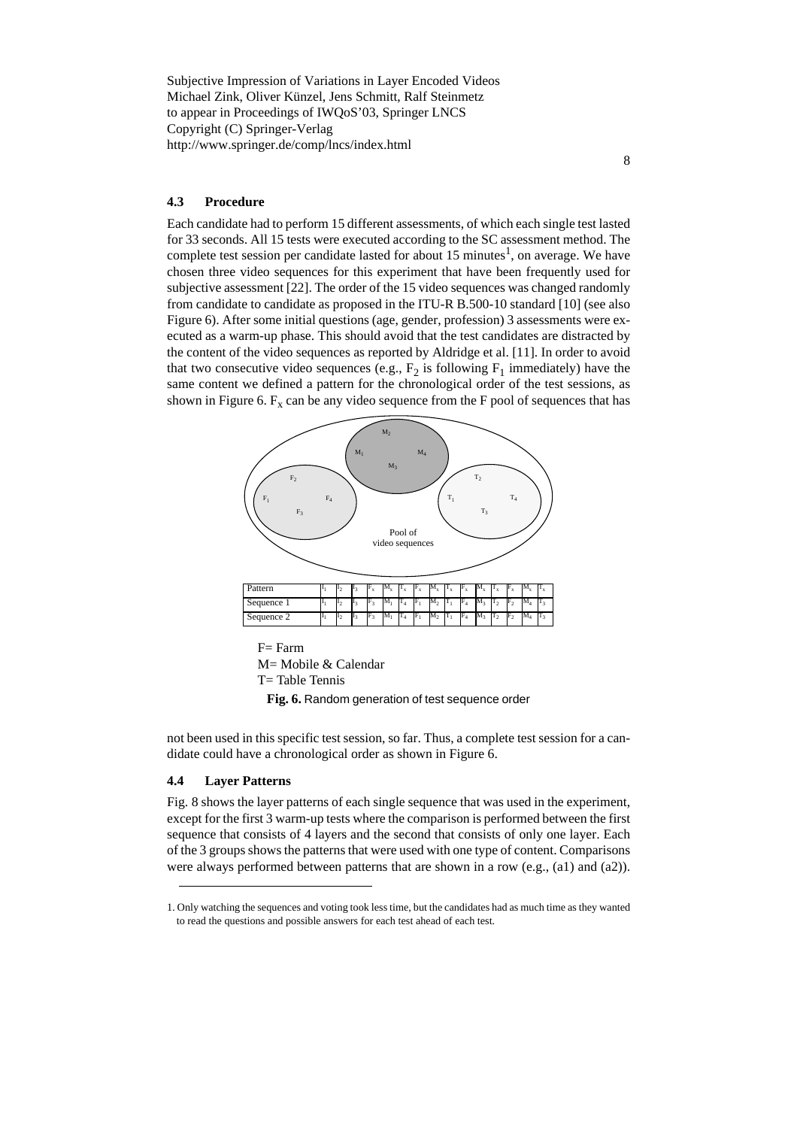## **4.3 Procedure**

Each candidate had to perform 15 different assessments, of which each single test lasted for 33 seconds. All 15 tests were executed according to the SC assessment method. The complete test session per candidate lasted for about 15 minutes<sup>1</sup>, on average. We have chosen three video sequences for this experiment that have been frequently used for subjective assessment [22]. The order of the 15 video sequences was changed randomly from candidate to candidate as proposed in the ITU-R B.500-10 standard [10] (see also Figure 6). After some initial questions (age, gender, profession) 3 assessments were executed as a warm-up phase. This should avoid that the test candidates are distracted by the content of the video sequences as reported by Aldridge et al. [11]. In order to avoid that two consecutive video sequences (e.g.,  $F_2$  is following  $F_1$  immediately) have the same content we defined a pattern for the chronological order of the test sessions, as shown in Figure 6.  $F_x$  can be any video sequence from the F pool of sequences that has



**Fig. 6.** Random generation of test sequence order  $F = Farm$ M= Mobile & Calendar T= Table Tennis

not been used in this specific test session, so far. Thus, a complete test session for a candidate could have a chronological order as shown in Figure 6.

## **4.4 Layer Patterns**

Fig. 8 shows the layer patterns of each single sequence that was used in the experiment, except for the first 3 warm-up tests where the comparison is performed between the first sequence that consists of 4 layers and the second that consists of only one layer. Each of the 3 groups shows the patterns that were used with one type of content. Comparisons were always performed between patterns that are shown in a row (e.g., (a1) and (a2)).

<sup>1.</sup> Only watching the sequences and voting took less time, but the candidates had as much time as they wanted to read the questions and possible answers for each test ahead of each test.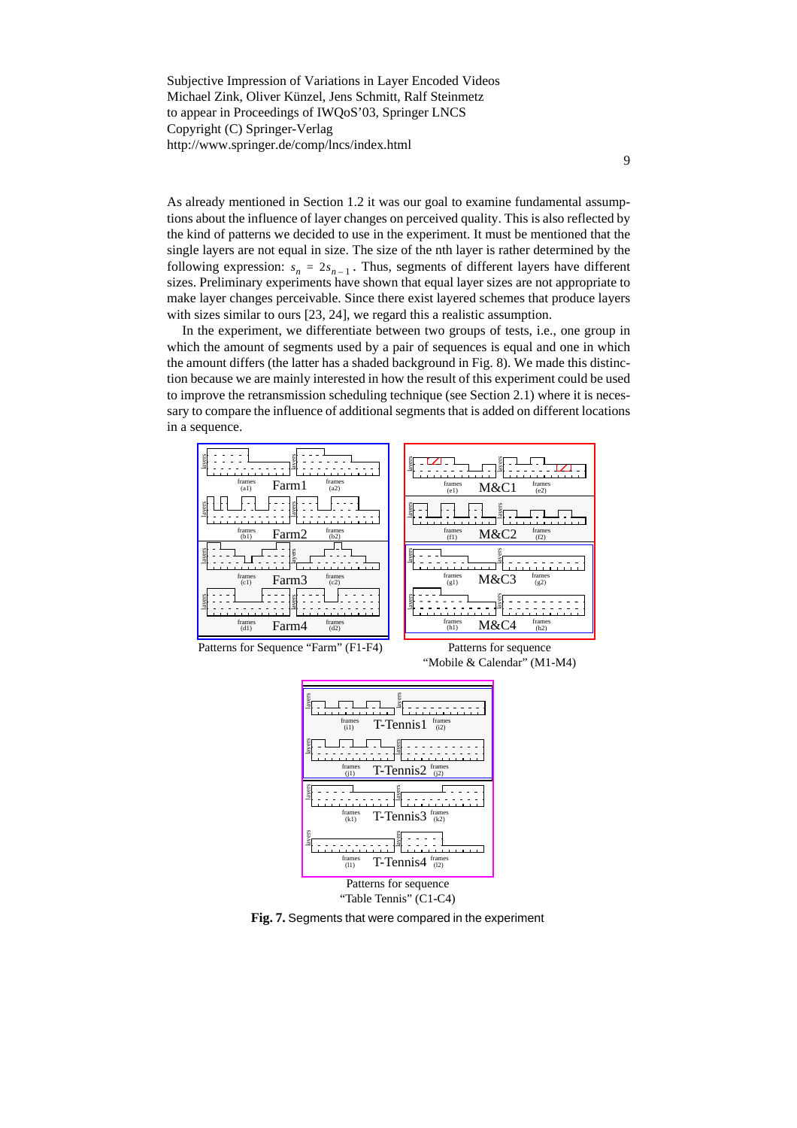As already mentioned in [Section 1.2](#page-1-0) it was our goal to examine fundamental assumptions about the influence of layer changes on perceived quality. This is also reflected by the kind of patterns we decided to use in the experiment. It must be mentioned that the single layers are not equal in size. The size of the nth layer is rather determined by the following expression:  $s_n = 2s_{n-1}$ . Thus, segments of different layers have different sizes. Preliminary experiments have shown that equal layer sizes are not appropriate to make layer changes perceivable. Since there exist layered schemes that produce layers with sizes similar to ours [23, 24], we regard this a realistic assumption.

In the experiment, we differentiate between two groups of tests, i.e., one group in which the amount of segments used by a pair of sequences is equal and one in which the amount differs (the latter has a shaded background in Fig. 8). We made this distinction because we are mainly interested in how the result of this experiment could be used to improve the retransmission scheduling technique (see [Section 2.1\)](#page-2-0) where it is necessary to compare the influence of additional segments that is added on different locations in a sequence.



Patterns for Sequence "Farm" (F1-F4)

Patterns for sequence "Mobile & Calendar" (M1-M4)



**Fig. 7.** Segments that were compared in the experiment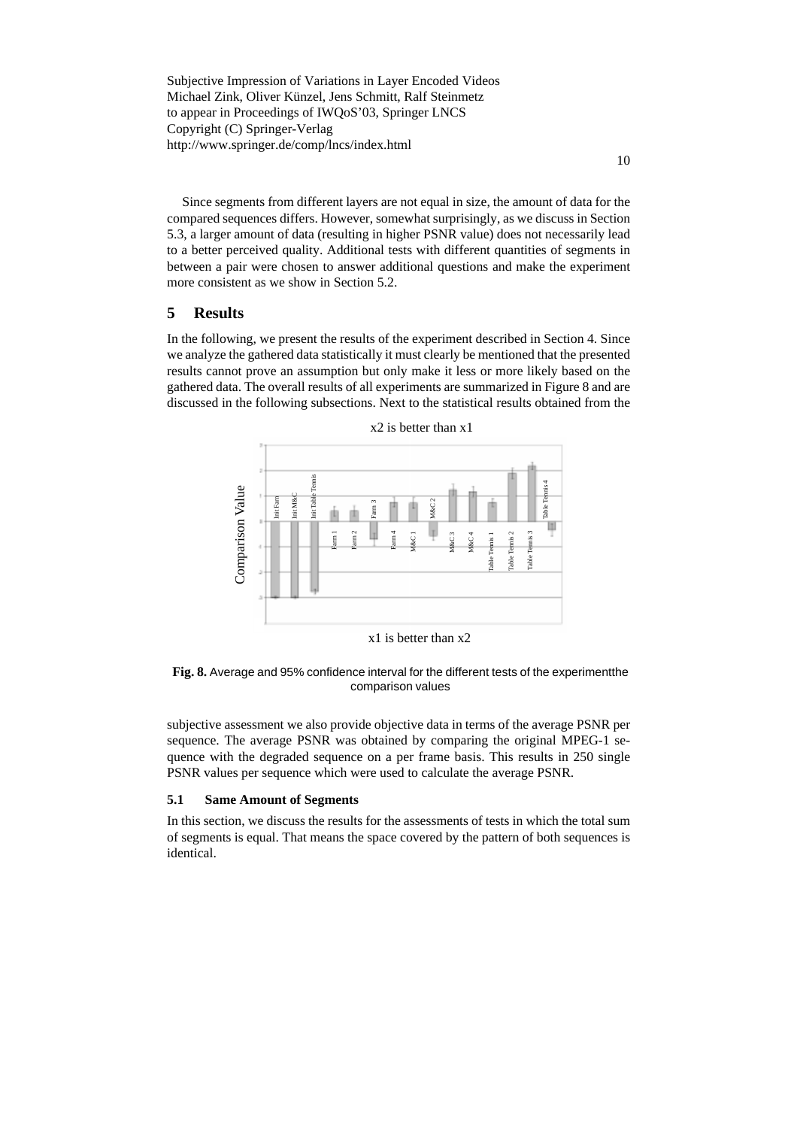<span id="page-9-0"></span>Since segments from different layers are not equal in size, the amount of data for the compared sequences differs. However, somewhat surprisingly, as we discuss in [Section](#page-14-0) [5.3,](#page-14-0) a larger amount of data (resulting in higher PSNR value) does not necessarily lead to a better perceived quality. Additional tests with different quantities of segments in between a pair were chosen to answer additional questions and make the experiment more consistent as we show in S[ection 5.2.](#page-12-0)

# **5 Results**

In the following, we present the results of the experiment described in [Section 4.](#page-6-0) Since we analyze the gathered data statistically it must clearly be mentioned that the presented results cannot prove an assumption but only make it less or more likely based on the gathered data. The overall results of all experiments are summarized in Figure 8 and are discussed in the following subsections. Next to the statistical results obtained from the



**Fig. 8.** Average and 95% confidence interval for the different tests of the experimentthe comparison values

subjective assessment we also provide objective data in terms of the average PSNR per sequence. The average PSNR was obtained by comparing the original MPEG-1 sequence with the degraded sequence on a per frame basis. This results in 250 single PSNR values per sequence which were used to calculate the average PSNR.

#### **5.1 Same Amount of Segments**

In this section, we discuss the results for the assessments of tests in which the total sum of segments is equal. That means the space covered by the pattern of both sequences is identical.

10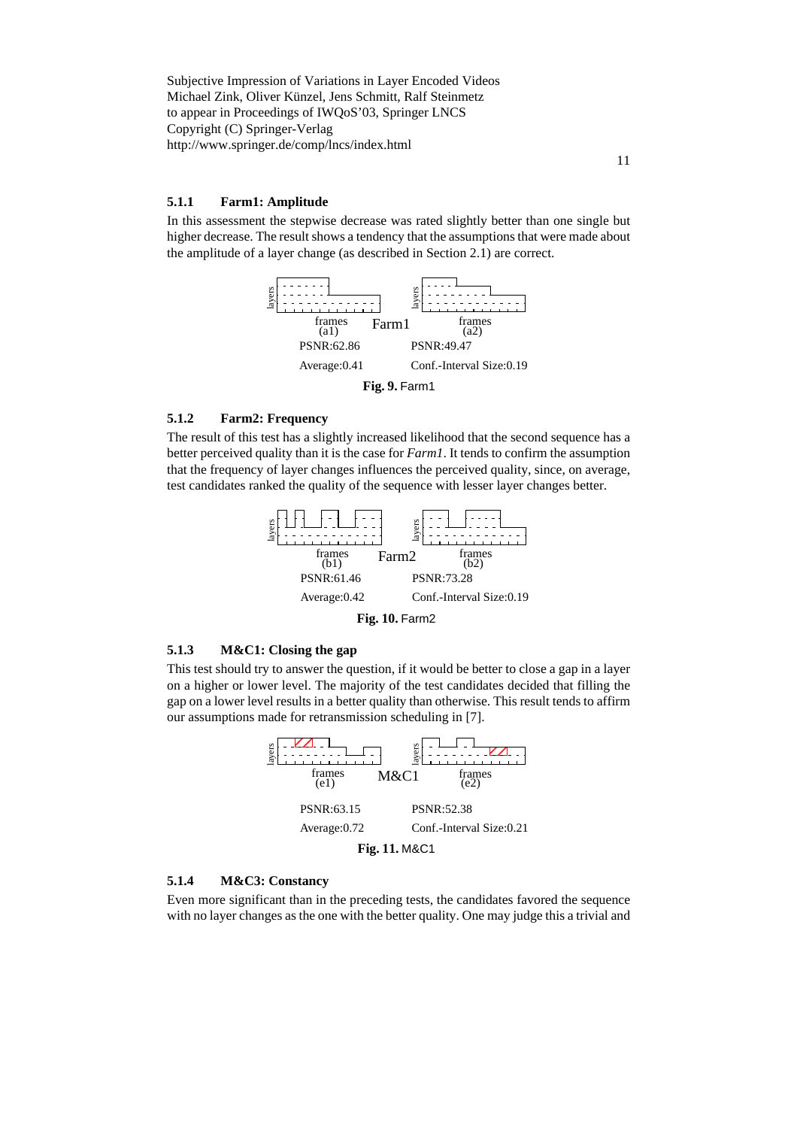## <span id="page-10-0"></span>**5.1.1 Farm1: Amplitude**

In this assessment the stepwise decrease was rated slightly better than one single but higher decrease. The result shows a tendency that the assumptions that were made about the amplitude of a layer change (as described in S[ection 2.1\) a](#page-2-0)re correct.



## **5.1.2 Farm2: Frequency**

The result of this test has a slightly increased likelihood that the second sequence has a better perceived quality than it is the case for *Farm1*. It tends to confirm the assumption that the frequency of layer changes influences the perceived quality, since, on average, test candidates ranked the quality of the sequence with lesser layer changes better.





# **5.1.3 M&C1: Closing the gap**

This test should try to answer the question, if it would be better to close a gap in a layer on a higher or lower level. The majority of the test candidates decided that filling the gap on a lower level results in a better quality than otherwise. This result tends to affirm our assumptions made for retransmission scheduling in [7].



# **5.1.4 M&C3: Constancy**

Even more significant than in the preceding tests, the candidates favored the sequence with no layer changes as the one with the better quality. One may judge this a trivial and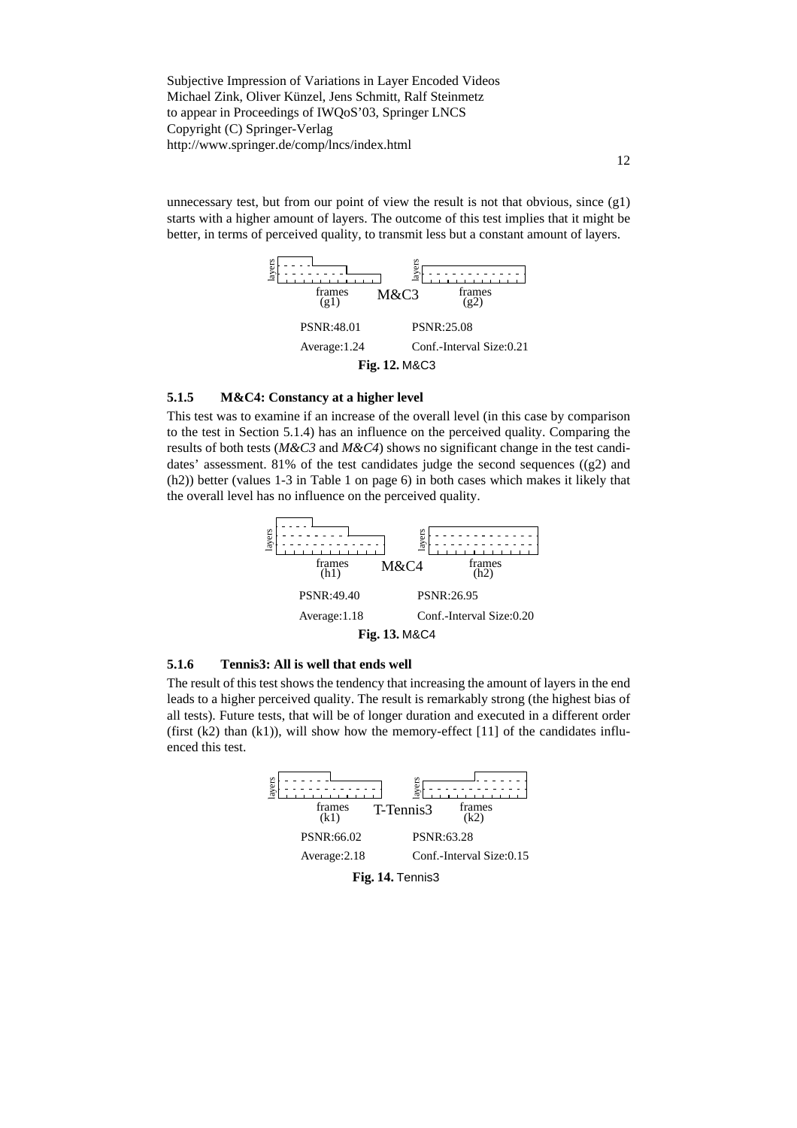unnecessary test, but from our point of view the result is not that obvious, since  $(g1)$ starts with a higher amount of layers. The outcome of this test implies that it might be better, in terms of perceived quality, to transmit less but a constant amount of layers.



#### **5.1.5 M&C4: Constancy at a higher level**

This test was to examine if an increase of the overall level (in this case by comparison to the test in [Section 5.1.4\)](#page-10-0) has an influence on the perceived quality. Comparing the results of both tests (*M&C3* and *M&C4*) shows no significant change in the test candidates' assessment. 81% of the test candidates judge the second sequences ((g2) and (h2)) better (values 1-3 in [Table 1 on page 6](#page-5-0)) in both cases which makes it likely that the overall level has no influence on the perceived quality.



#### **5.1.6 Tennis3: All is well that ends well**

The result of this test shows the tendency that increasing the amount of layers in the end leads to a higher perceived quality. The result is remarkably strong (the highest bias of all tests). Future tests, that will be of longer duration and executed in a different order (first  $(k2)$  than  $(k1)$ ), will show how the memory-effect [11] of the candidates influenced this test.



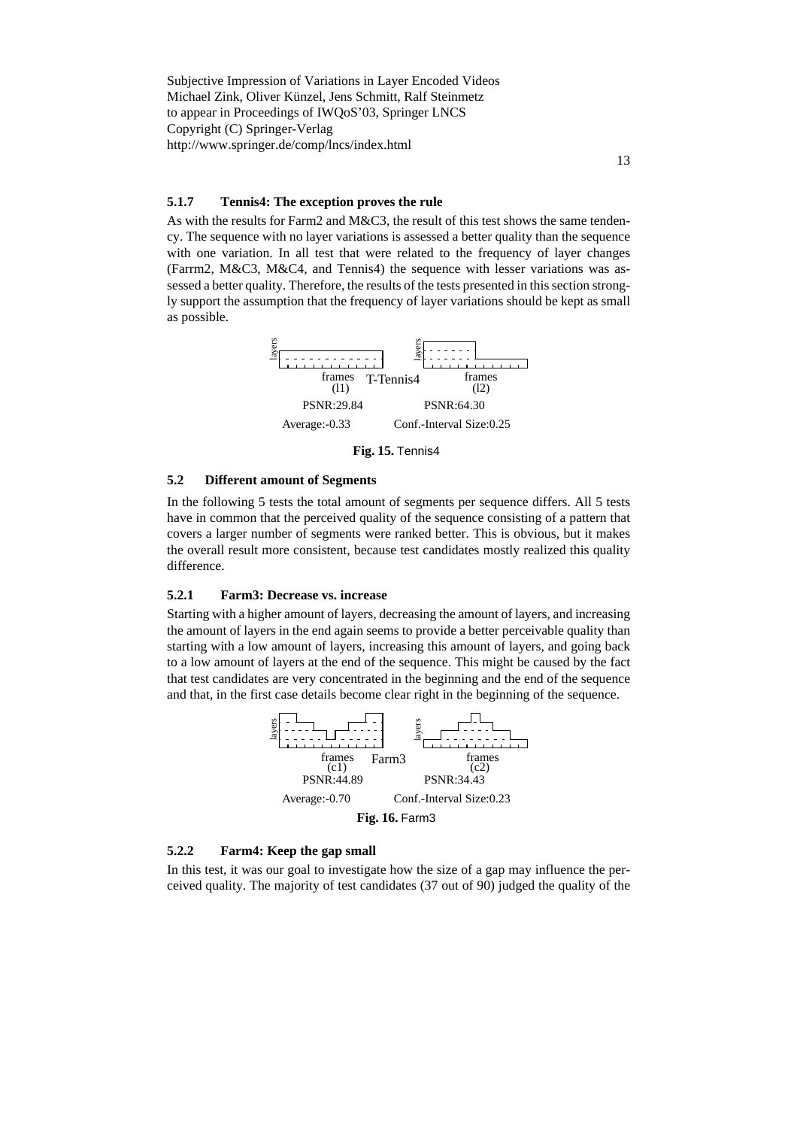## <span id="page-12-0"></span>**5.1.7 Tennis4: The exception proves the rule**

As with the results for Farm2 and M&C3, the result of this test shows the same tendency. The sequence with no layer variations is assessed a better quality than the sequence with one variation. In all test that were related to the frequency of layer changes (Farrm2, M&C3, M&C4, and Tennis4) the sequence with lesser variations was assessed a better quality. Therefore, the results of the tests presented in this section strongly support the assumption that the frequency of layer variations should be kept as small as possible.



**Fig. 15.** Tennis4

#### **5.2 Different amount of Segments**

In the following 5 tests the total amount of segments per sequence differs. All 5 tests have in common that the perceived quality of the sequence consisting of a pattern that covers a larger number of segments were ranked better. This is obvious, but it makes the overall result more consistent, because test candidates mostly realized this quality difference.

## **5.2.1 Farm3: Decrease vs. increase**

Starting with a higher amount of layers, decreasing the amount of layers, and increasing the amount of layers in the end again seems to provide a better perceivable quality than starting with a low amount of layers, increasing this amount of layers, and going back to a low amount of layers at the end of the sequence. This might be caused by the fact that test candidates are very concentrated in the beginning and the end of the sequence and that, in the first case details become clear right in the beginning of the sequence.



#### **5.2.2 Farm4: Keep the gap small**

In this test, it was our goal to investigate how the size of a gap may influence the perceived quality. The majority of test candidates (37 out of 90) judged the quality of the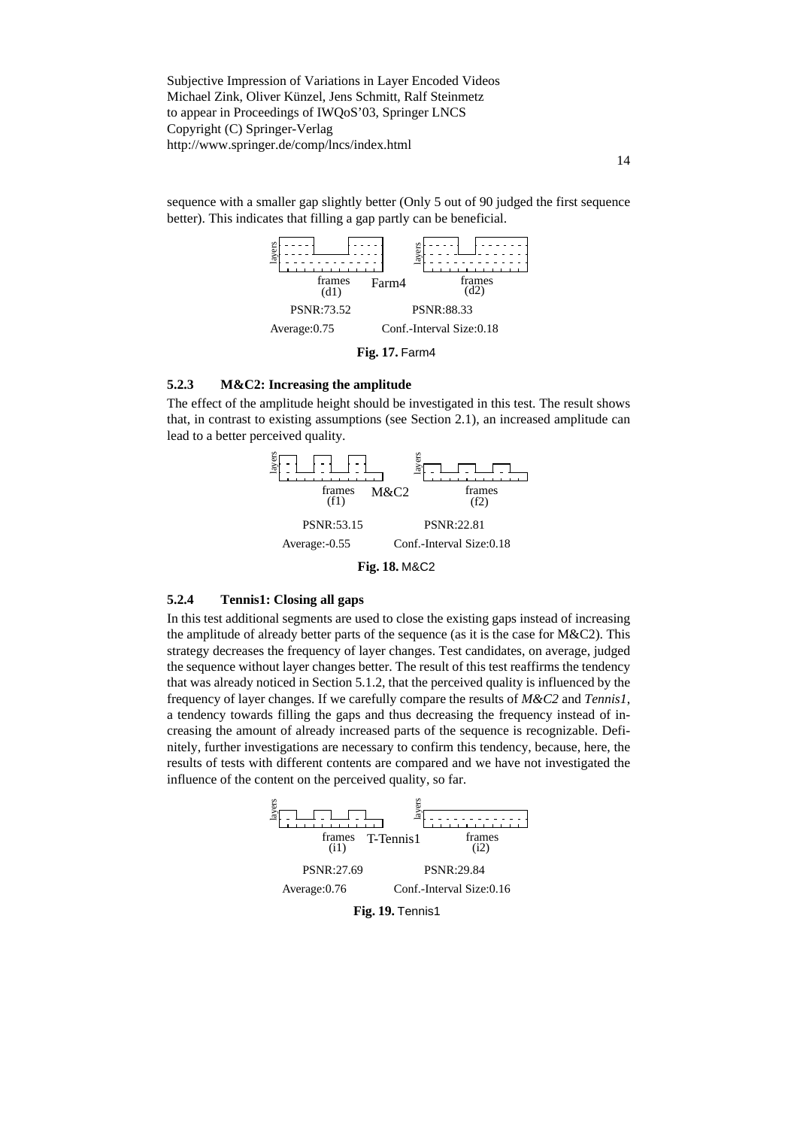14

sequence with a smaller gap slightly better (Only 5 out of 90 judged the first sequence better). This indicates that filling a gap partly can be beneficial.



**Fig. 17.** Farm4

## **5.2.3 M&C2: Increasing the amplitude**

The effect of the amplitude height should be investigated in this test. The result shows that, in contrast to existing assumptions (see [Section 2.1\),](#page-2-0) an increased amplitude can lead to a better perceived quality.



## **5.2.4 Tennis1: Closing all gaps**

In this test additional segments are used to close the existing gaps instead of increasing the amplitude of already better parts of the sequence (as it is the case for  $M\&C2$ ). This strategy decreases the frequency of layer changes. Test candidates, on average, judged the sequence without layer changes better. The result of this test reaffirms the tendency that was already noticed in [Section 5.1.2](#page-10-0), that the perceived quality is influenced by the frequency of layer changes. If we carefully compare the results of *M&C2* and *Tennis1*, a tendency towards filling the gaps and thus decreasing the frequency instead of increasing the amount of already increased parts of the sequence is recognizable. Definitely, further investigations are necessary to confirm this tendency, because, here, the results of tests with different contents are compared and we have not investigated the influence of the content on the perceived quality, so far.



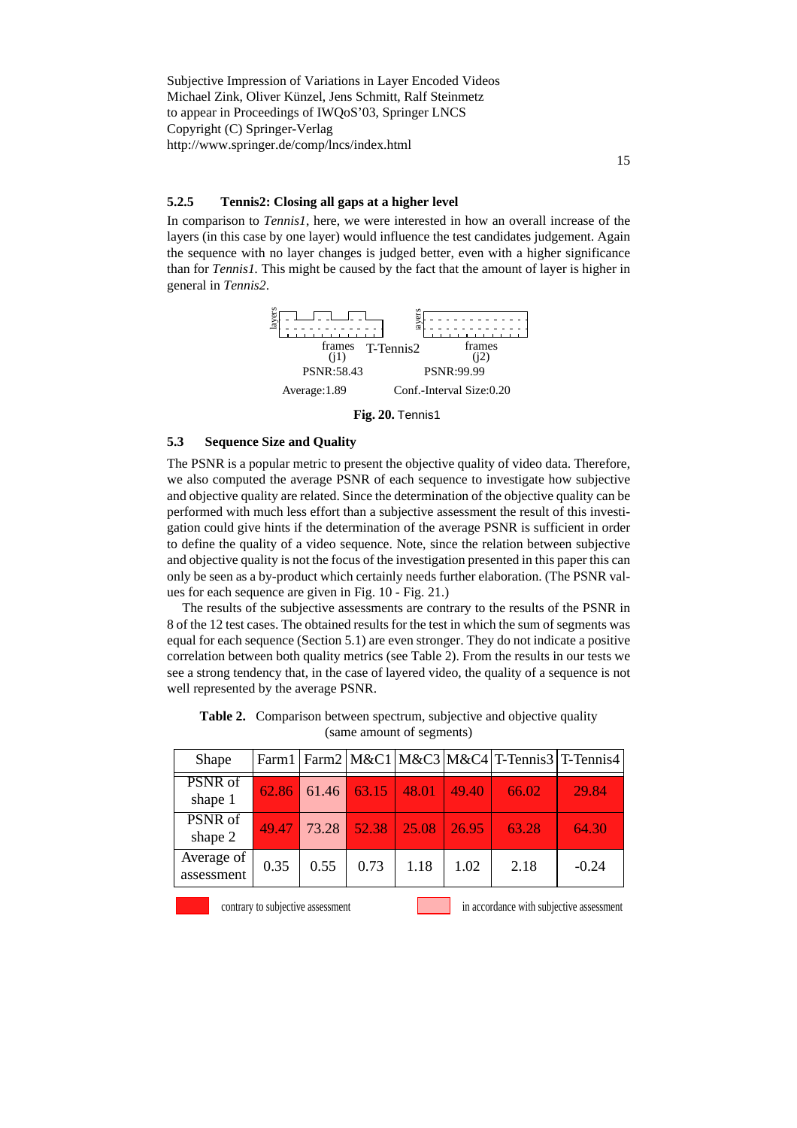## <span id="page-14-0"></span>**5.2.5 Tennis2: Closing all gaps at a higher level**

In comparison to *Tennis1*, here, we were interested in how an overall increase of the layers (in this case by one layer) would influence the test candidates judgement. Again the sequence with no layer changes is judged better, even with a higher significance than for *Tennis1.* This might be caused by the fact that the amount of layer is higher in general in *Tennis2*.



**Fig. 20.** Tennis1

#### **5.3 Sequence Size and Quality**

The PSNR is a popular metric to present the objective quality of video data. Therefore, we also computed the average PSNR of each sequence to investigate how subjective and objective quality are related. Since the determination of the objective quality can be performed with much less effort than a subjective assessment the result of this investigation could give hints if the determination of the average PSNR is sufficient in order to define the quality of a video sequence. Note, since the relation between subjective and objective quality is not the focus of the investigation presented in this paper this can only be seen as a by-product which certainly needs further elaboration. (The PSNR values for each sequence are given in Fig. 10 - Fig. 21.)

The results of the subjective assessments are contrary to the results of the PSNR in 8 of the 12 test cases. The obtained results for the test in which the sum of segments was equal for each sequence [\(Section 5.1](#page-9-0)) are even stronger. They do not indicate a positive correlation between both quality metrics (see Table 2). From the results in our tests we see a strong tendency that, in the case of layered video, the quality of a sequence is not well represented by the average PSNR.

| Shape                    |       |       |                                 |                 |       | Farm1   Farm2   M&C1   M&C3   M&C4   T-Tennis3   T-Tennis4 |         |
|--------------------------|-------|-------|---------------------------------|-----------------|-------|------------------------------------------------------------|---------|
| PSNR of<br>shape 1       |       |       | $62.86$ 61.46 63.15 48.01 49.40 |                 |       | 66.02                                                      | 29.84   |
| PSNR of<br>shape 2       | 49.47 | 73.28 |                                 | $52.38$ $25.08$ | 26.95 | 63.28                                                      | 64.30   |
| Average of<br>assessment | 0.35  | 0.55  | 0.73                            | 1.18            | 1.02  | 2.18                                                       | $-0.24$ |

**Table 2.** Comparison between spectrum, subjective and objective quality (same amount of segments)

contrary to subjective assessment in accordance with subjective assessment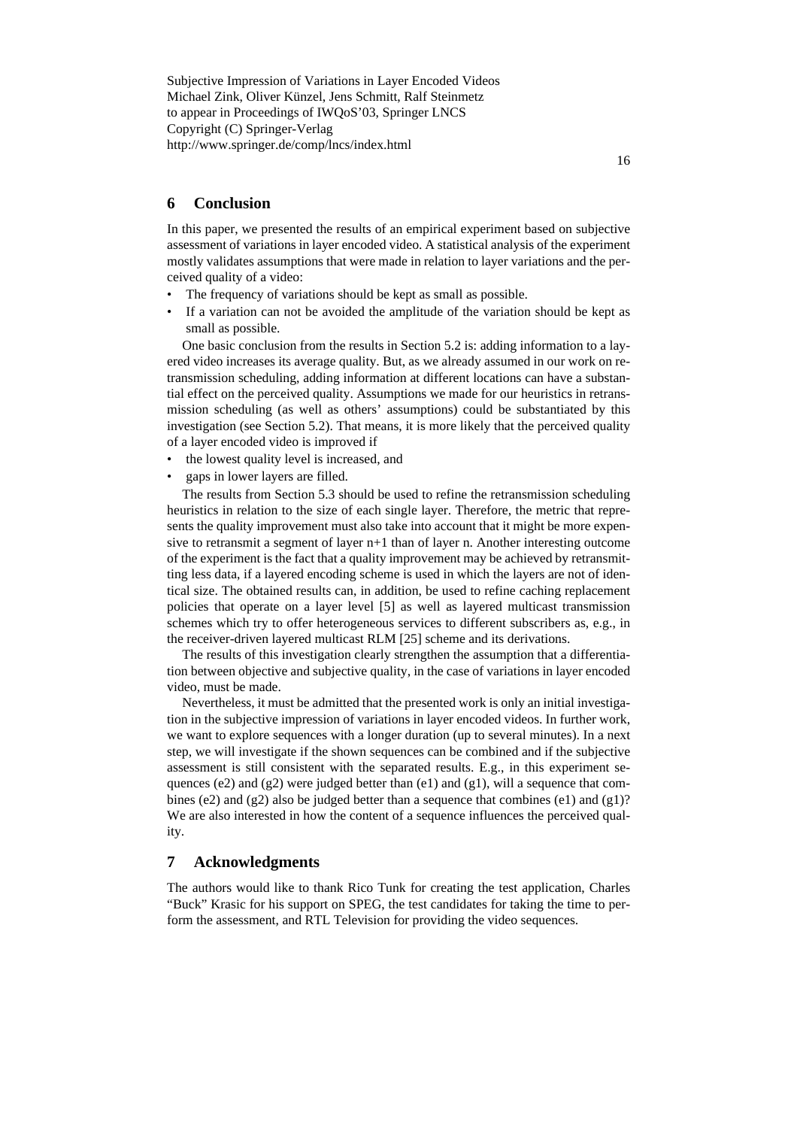# <span id="page-15-0"></span>**6 Conclusion**

In this paper, we presented the results of an empirical experiment based on subjective assessment of variations in layer encoded video. A statistical analysis of the experiment mostly validates assumptions that were made in relation to layer variations and the perceived quality of a video:

- The frequency of variations should be kept as small as possible.
- If a variation can not be avoided the amplitude of the variation should be kept as small as possible.

One basic conclusion from the results in [Section 5.2](#page-12-0) is: adding information to a layered video increases its average quality. But, as we already assumed in our work on retransmission scheduling, adding information at different locations can have a substantial effect on the perceived quality. Assumptions we made for our heuristics in retransmission scheduling (as well as others' assumptions) could be substantiated by this investigation (see [Section 5.2](#page-12-0)). That means, it is more likely that the perceived quality of a layer encoded video is improved if

- the lowest quality level is increased, and
- gaps in lower layers are filled.

The results from [Section 5.3](#page-14-0) should be used to refine the retransmission scheduling heuristics in relation to the size of each single layer. Therefore, the metric that represents the quality improvement must also take into account that it might be more expensive to retransmit a segment of layer n+1 than of layer n. Another interesting outcome of the experiment is the fact that a quality improvement may be achieved by retransmitting less data, if a layered encoding scheme is used in which the layers are not of identical size. The obtained results can, in addition, be used to refine caching replacement policies that operate on a layer level [5] as well as layered multicast transmission schemes which try to offer heterogeneous services to different subscribers as, e.g., in the receiver-driven layered multicast RLM [25] scheme and its derivations.

The results of this investigation clearly strengthen the assumption that a differentiation between objective and subjective quality, in the case of variations in layer encoded video, must be made.

Nevertheless, it must be admitted that the presented work is only an initial investigation in the subjective impression of variations in layer encoded videos. In further work, we want to explore sequences with a longer duration (up to several minutes). In a next step, we will investigate if the shown sequences can be combined and if the subjective assessment is still consistent with the separated results. E.g., in this experiment sequences (e2) and (g2) were judged better than (e1) and (g1), will a sequence that combines (e2) and (g2) also be judged better than a sequence that combines (e1) and (g1)? We are also interested in how the content of a sequence influences the perceived quality.

# **7 Acknowledgments**

The authors would like to thank Rico Tunk for creating the test application, Charles "Buck" Krasic for his support on SPEG, the test candidates for taking the time to perform the assessment, and RTL Television for providing the video sequences.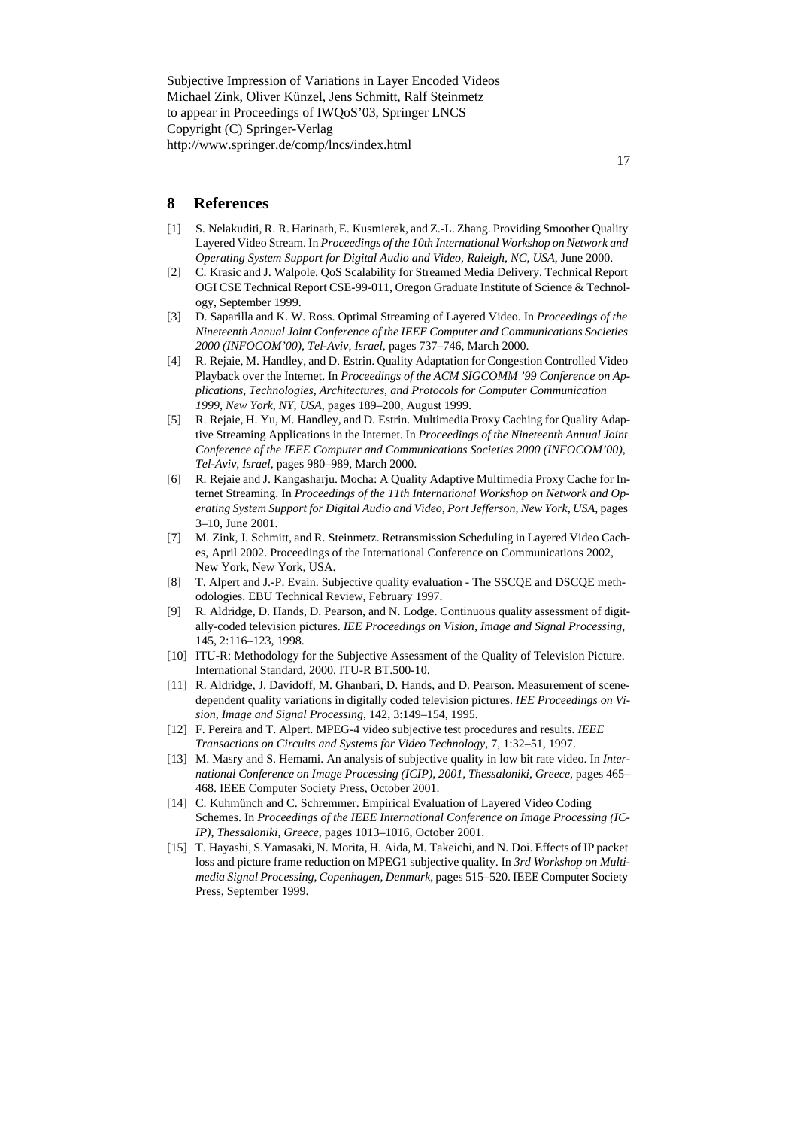# **8 References**

- [1] S. Nelakuditi, R. R. Harinath, E. Kusmierek, and Z.-L. Zhang. Providing Smoother Quality Layered Video Stream. In *Proceedings of the 10th International Workshop on Network and Operating System Support for Digital Audio and Video, Raleigh, NC, USA*, June 2000.
- [2] C. Krasic and J. Walpole. QoS Scalability for Streamed Media Delivery. Technical Report OGI CSE Technical Report CSE-99-011, Oregon Graduate Institute of Science & Technology, September 1999.
- [3] D. Saparilla and K. W. Ross. Optimal Streaming of Layered Video. In *Proceedings of the Nineteenth Annual Joint Conference of the IEEE Computer and Communications Societies 2000 (INFOCOM'00), Tel-Aviv, Israel*, pages 737–746, March 2000.
- [4] R. Rejaie, M. Handley, and D. Estrin. Quality Adaptation for Congestion Controlled Video Playback over the Internet. In *Proceedings of the ACM SIGCOMM '99 Conference on Applications, Technologies, Architectures, and Protocols for Computer Communication 1999, New York, NY, USA*, pages 189–200, August 1999.
- [5] R. Rejaie, H. Yu, M. Handley, and D. Estrin. Multimedia Proxy Caching for Quality Adaptive Streaming Applications in the Internet. In *Proceedings of the Nineteenth Annual Joint Conference of the IEEE Computer and Communications Societies 2000 (INFOCOM'00), Tel-Aviv, Israel*, pages 980–989, March 2000.
- [6] R. Rejaie and J. Kangasharju. Mocha: A Quality Adaptive Multimedia Proxy Cache for Internet Streaming. In *Proceedings of the 11th International Workshop on Network and Operating System Support for Digital Audio and Video, Port Jefferson, New York, USA*, pages 3–10, June 2001.
- [7] M. Zink, J. Schmitt, and R. Steinmetz. Retransmission Scheduling in Layered Video Caches, April 2002. Proceedings of the International Conference on Communications 2002, New York, New York, USA.
- [8] T. Alpert and J.-P. Evain. Subjective quality evaluation The SSCQE and DSCQE methodologies. EBU Technical Review, February 1997.
- [9] R. Aldridge, D. Hands, D. Pearson, and N. Lodge. Continuous quality assessment of digitally-coded television pictures. *IEE Proceedings on Vision, Image and Signal Processing*, 145, 2:116–123, 1998.
- [10] ITU-R: Methodology for the Subjective Assessment of the Quality of Television Picture. International Standard, 2000. ITU-R BT.500-10.
- [11] R. Aldridge, J. Davidoff, M. Ghanbari, D. Hands, and D. Pearson. Measurement of scenedependent quality variations in digitally coded television pictures. *IEE Proceedings on Vision, Image and Signal Processing*, 142, 3:149–154, 1995.
- [12] F. Pereira and T. Alpert. MPEG-4 video subjective test procedures and results. *IEEE Transactions on Circuits and Systems for Video Technology*, 7, 1:32–51, 1997.
- [13] M. Masry and S. Hemami. An analysis of subjective quality in low bit rate video. In *International Conference on Image Processing (ICIP), 2001, Thessaloniki, Greece*, pages 465– 468. IEEE Computer Society Press, October 2001.
- [14] C. Kuhmünch and C. Schremmer. Empirical Evaluation of Layered Video Coding Schemes. In *Proceedings of the IEEE International Conference on Image Processing (IC-IP), Thessaloniki, Greece*, pages 1013–1016, October 2001.
- [15] T. Hayashi, S.Yamasaki, N. Morita, H. Aida, M. Takeichi, and N. Doi. Effects of IP packet loss and picture frame reduction on MPEG1 subjective quality. In *3rd Workshop on Multimedia Signal Processing, Copenhagen, Denmark*, pages 515–520. IEEE Computer Society Press, September 1999.